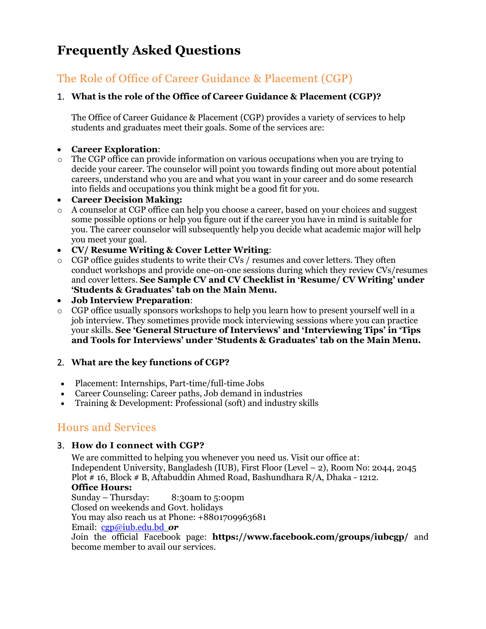# **Frequently Asked Questions**

## The Role of Office of Career Guidance & Placement (CGP)

#### 1. **What is the role of the Office of Career Guidance & Placement (CGP)?**

The Office of Career Guidance & Placement (CGP) provides a variety of services to help students and graduates meet their goals. Some of the services are:

#### • **[Career Exploration](https://www.thebalance.com/career-info-4073352)**:

 $\circ$  The CGP office can provide information on various occupations when you are trying to decide your career. The counselor will point you towards finding out more about potential careers, understand who you are and what you want in your career and do some research into fields and occupations you think might be a good fit for you.

#### • **Career Decision Making:**

- o A counselor at CGP office can help yo[u choose a career,](https://www.thebalance.com/steps-to-choosing-career-525506) based on your choices and suggest some possible options or help you figure out if the career you have in mind is suitable for you. The career counselor will subsequently help you decide what academic major will help you meet your [goal.](https://www.thebalance.com/goal-setting-526182)
- **CV/ [Resume Writing](https://www.thebalance.com/resumes-interviews-4073346) & Cover Letter Writing**:
- o CGP office guides students to write their CVs / resumes and cover letters. They often conduct workshops and provide one-on-one sessions during which they review CVs/resumes and cover letters. **See Sample CV and CV Checklist in 'Resume/ CV Writing' under 'Students & Graduates' tab on the Main Menu.**
- **[Job Interview Preparation](https://www.thebalance.com/resumes-interviews-4073346)**:
- o CGP office usually sponsors workshops to help you learn how to present yourself well in a job interview. They sometimes provide mock interviewing sessions where you can practice your skills. **See 'General Structure of Interviews' and 'Interviewing Tips' in 'Tips and Tools for Interviews' under 'Students & Graduates' tab on the Main Menu.**

#### 2. **What are the key functions of CGP?**

- Placement: Internships, Part-time/full-time Jobs
- Career Counseling: Career paths, Job demand in industries
- Training & Development: Professional (soft) and industry skills

## Hours and Services

#### 3. **How do I connect with CGP?**

We are committed to helping you whenever you need us. Visit our office at: Independent University, Bangladesh (IUB), First Floor (Level – 2), Room No: 2044, 2045 Plot # 16, Block # B, Aftabuddin Ahmed Road, Bashundhara R/A, Dhaka - 1212. **Office Hours:** Sunday – Thursday: 8:30am to 5:00pm Closed on weekends and Govt. holidays You may also reach us at Phone:  $+8801709963681$ Email: [cgp@iub.edu.bd](mailto:cgp@iub.edu.bd) *or*

Join the official Facebook page: **https://www.facebook.com/groups/iubcgp/** and become member to avail our services.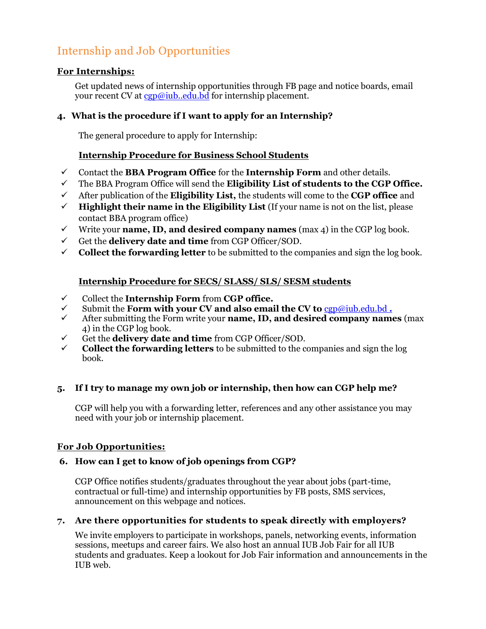## Internship and Job Opportunities

#### **For Internships:**

Get updated news of internship opportunities through FB page and notice boards, email your recent CV at [cgp@iub..edu.bd](mailto:cgp@iub..edu.bd) for internship placement.

#### **4. What is the procedure if I want to apply for an Internship?**

The general procedure to apply for Internship:

#### **Internship Procedure for Business School Students**

- ✓ Contact the **BBA Program Office** for the **Internship Form** and other details.
- ✓ The BBA Program Office will send the **Eligibility List of students to the CGP Office.**
- ✓ After publication of the **Eligibility List,** the students will come to the **CGP office** and
- $\checkmark$  **Highlight their name in the Eligibility List** (If your name is not on the list, please contact BBA program office)
- $\checkmark$  Write your **name, ID, and desired company names** (max 4) in the CGP log book.
- ✓ Get the **delivery date and time** from CGP Officer/SOD.
- $\checkmark$  **Collect the forwarding letter** to be submitted to the companies and sign the log book.

#### **Internship Procedure for SECS/ SLASS/ SLS/ SESM students**

- ✓ Collect the **Internship Form** from **CGP office.**
- ✓ Submit the **Form with your CV and also email the CV to** [cgp@iub.edu.bd](mailto:cgp@iub.edu.bd) **.**
- ✓ After submitting the Form write your **name, ID, and desired company names** (max 4) in the CGP log book.
- ✓ Get the **delivery date and time** from CGP Officer/SOD.
- **Collect the forwarding letters** to be submitted to the companies and sign the log book.

#### **5. If I try to manage my own job or internship, then how can CGP help me?**

CGP will help you with a forwarding letter, references and any other assistance you may need with your job or internship placement.

#### **For Job Opportunities:**

#### **6. How can I get to know of job openings from CGP?**

CGP Office notifies students/graduates throughout the year about jobs (part-time, contractual or full-time) and internship opportunities by FB posts, SMS services, announcement on this webpage and notices.

#### **7. Are there opportunities for students to speak directly with employers?**

We invite employers to participate in workshops, panels, networking events, information sessions, meetups and career fairs. We also host an annual IUB Job Fair for all IUB students and graduates. Keep a lookout for Job Fair information and announcements in the IUB web.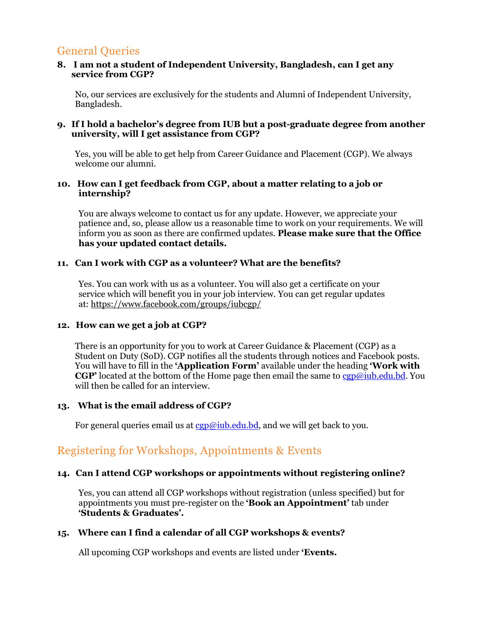### General Queries

#### **8. I am not a student of Independent University, Bangladesh, can I get any service from CGP?**

No, our services are exclusively for the students and Alumni of Independent University, Bangladesh.

#### **9. If I hold a bachelor's degree from IUB but a post-graduate degree from another university, will I get assistance from CGP?**

Yes, you will be able to get help from Career Guidance and Placement (CGP). We always welcome our alumni.

#### **10. How can I get feedback from CGP, about a matter relating to a job or internship?**

You are always welcome to contact us for any update. However, we appreciate your patience and, so, please allow us a reasonable time to work on your requirements. We will inform you as soon as there are confirmed updates. **Please make sure that the Office has your updated contact details.**

#### **11. Can I work with CGP as a volunteer? What are the benefits?**

Yes. You can work with us as a volunteer. You will also get a certificate on your service which will benefit you in your job interview. You can get regular updates at: https://www.facebook.com/groups/iubcgp/

#### **12. How can we get a job at CGP?**

There is an opportunity for you to work at Career Guidance & Placement (CGP) as a Student on Duty (SoD). CGP notifies all the students through notices and Facebook posts. You will have to fill in the **'Application Form'** available under the heading **'Work with CGP'** located at the bottom of the Home page then email the same to [cgp@iub.edu.bd.](mailto:cgp@iub.edu.bd) You will then be called for an interview.

#### **13. What is the email address of CGP?**

For general queries email us at  $c$ gp@iub.edu.bd, and we will get back to you.

### Registering for Workshops, Appointments & Events

#### **14. Can I attend CGP workshops or appointments without registering online?**

Yes, you can attend all CGP workshops without registration (unless specified) but for appointments you must pre-register on the **'Book an Appointment'** tab under **'Students & Graduates'.**

#### **15. [Where can I find a calendar of all CGP workshops & events?](http://careers.yorku.ca/online-system/faq/#available)**

All upcoming CGP workshops and events are listed under **'Events.**